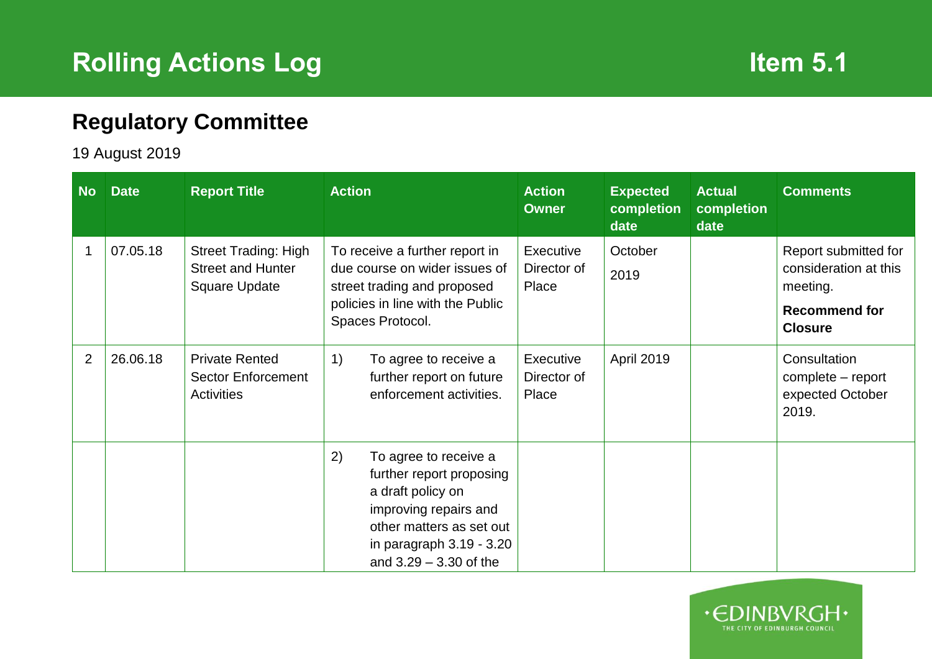## **Regulatory Committee**

## 19 August 2019

| <b>No</b>      | <b>Date</b> | <b>Report Title</b>                                                      | <b>Action</b>                                                                                                                                                                               | <b>Action</b><br><b>Owner</b>     | <b>Expected</b><br>completion<br>date | <b>Actual</b><br>completion<br>date | <b>Comments</b>                                                                                     |
|----------------|-------------|--------------------------------------------------------------------------|---------------------------------------------------------------------------------------------------------------------------------------------------------------------------------------------|-----------------------------------|---------------------------------------|-------------------------------------|-----------------------------------------------------------------------------------------------------|
|                | 07.05.18    | <b>Street Trading: High</b><br><b>Street and Hunter</b><br>Square Update | To receive a further report in<br>due course on wider issues of<br>street trading and proposed<br>policies in line with the Public<br>Spaces Protocol.                                      | Executive<br>Director of<br>Place | October<br>2019                       |                                     | Report submitted for<br>consideration at this<br>meeting.<br><b>Recommend for</b><br><b>Closure</b> |
| $\overline{2}$ | 26.06.18    | <b>Private Rented</b><br><b>Sector Enforcement</b><br><b>Activities</b>  | 1)<br>To agree to receive a<br>further report on future<br>enforcement activities.                                                                                                          | Executive<br>Director of<br>Place | April 2019                            |                                     | Consultation<br>complete – report<br>expected October<br>2019.                                      |
|                |             |                                                                          | 2)<br>To agree to receive a<br>further report proposing<br>a draft policy on<br>improving repairs and<br>other matters as set out<br>in paragraph $3.19 - 3.20$<br>and $3.29 - 3.30$ of the |                                   |                                       |                                     |                                                                                                     |

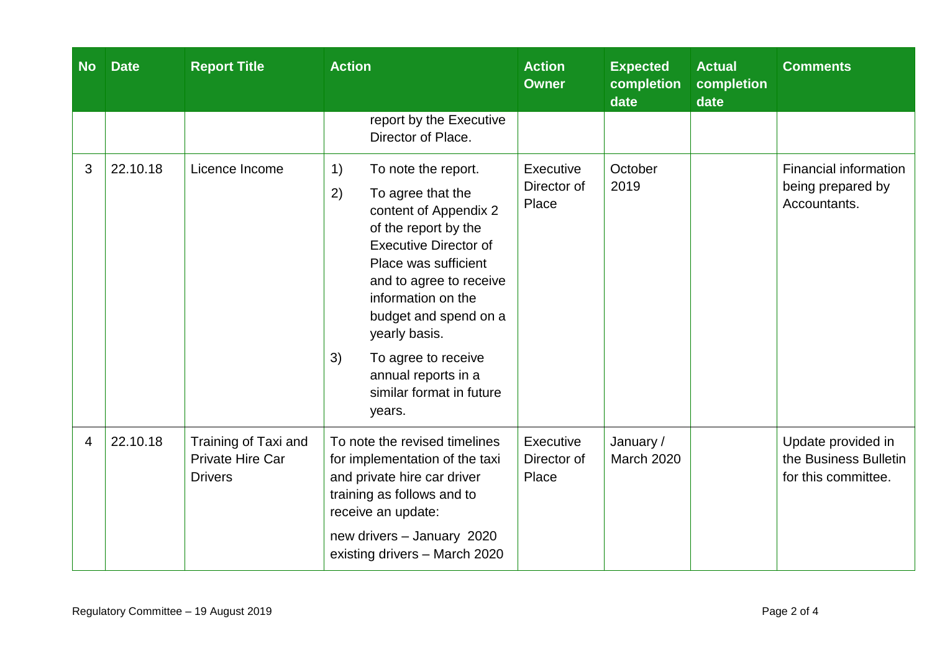| <b>No</b>      | <b>Date</b> | <b>Report Title</b>                                        | <b>Action</b>                                                                                                                                                                                                                                                                                                                                      | <b>Action</b><br><b>Owner</b>            | <b>Expected</b><br>completion<br>date | <b>Actual</b><br>completion<br>date | <b>Comments</b>                                                    |
|----------------|-------------|------------------------------------------------------------|----------------------------------------------------------------------------------------------------------------------------------------------------------------------------------------------------------------------------------------------------------------------------------------------------------------------------------------------------|------------------------------------------|---------------------------------------|-------------------------------------|--------------------------------------------------------------------|
|                |             |                                                            | report by the Executive<br>Director of Place.                                                                                                                                                                                                                                                                                                      |                                          |                                       |                                     |                                                                    |
| 3              | 22.10.18    | Licence Income                                             | 1)<br>To note the report.<br>2)<br>To agree that the<br>content of Appendix 2<br>of the report by the<br><b>Executive Director of</b><br>Place was sufficient<br>and to agree to receive<br>information on the<br>budget and spend on a<br>yearly basis.<br>3)<br>To agree to receive<br>annual reports in a<br>similar format in future<br>years. | <b>Executive</b><br>Director of<br>Place | October<br>2019                       |                                     | Financial information<br>being prepared by<br>Accountants.         |
| $\overline{4}$ | 22.10.18    | Training of Taxi and<br>Private Hire Car<br><b>Drivers</b> | To note the revised timelines<br>for implementation of the taxi<br>and private hire car driver<br>training as follows and to<br>receive an update:<br>new drivers - January 2020<br>existing drivers - March 2020                                                                                                                                  | Executive<br>Director of<br>Place        | January /<br>March 2020               |                                     | Update provided in<br>the Business Bulletin<br>for this committee. |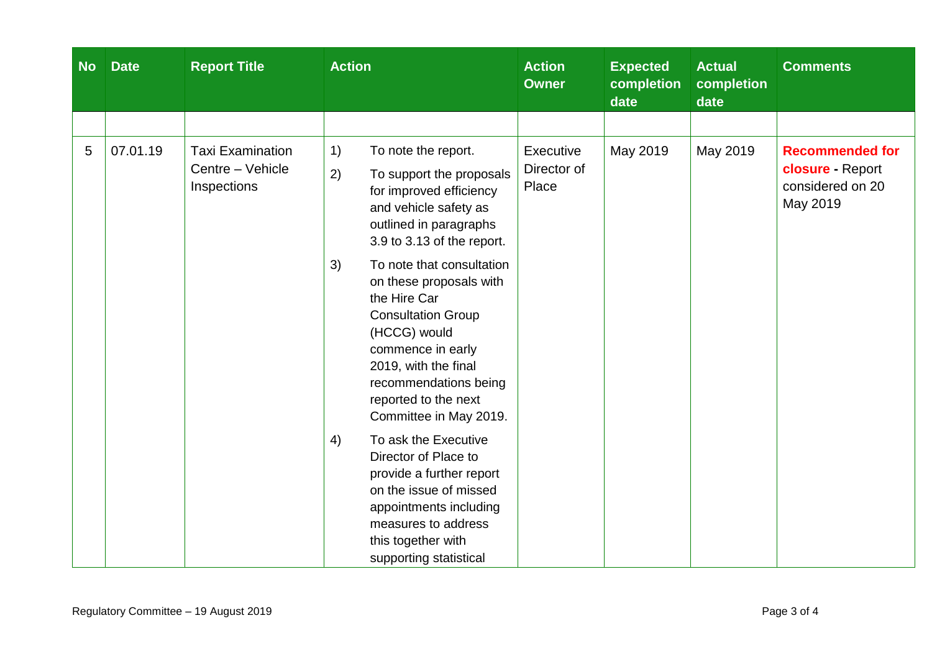| <b>No</b> | <b>Date</b> | <b>Report Title</b>                                        | <b>Action</b>                                                                                                                                                                                                                                   | <b>Action</b><br><b>Owner</b>     | <b>Expected</b><br>completion<br>date | <b>Actual</b><br>completion<br>date | <b>Comments</b>                                                            |
|-----------|-------------|------------------------------------------------------------|-------------------------------------------------------------------------------------------------------------------------------------------------------------------------------------------------------------------------------------------------|-----------------------------------|---------------------------------------|-------------------------------------|----------------------------------------------------------------------------|
|           |             |                                                            |                                                                                                                                                                                                                                                 |                                   |                                       |                                     |                                                                            |
| 5         | 07.01.19    | <b>Taxi Examination</b><br>Centre - Vehicle<br>Inspections | 1)<br>To note the report.<br>2)<br>To support the proposals<br>for improved efficiency<br>and vehicle safety as<br>outlined in paragraphs<br>3.9 to 3.13 of the report.                                                                         | Executive<br>Director of<br>Place | May 2019                              | May 2019                            | <b>Recommended for</b><br>closure - Report<br>considered on 20<br>May 2019 |
|           |             |                                                            | 3)<br>To note that consultation<br>on these proposals with<br>the Hire Car<br><b>Consultation Group</b><br>(HCCG) would<br>commence in early<br>2019, with the final<br>recommendations being<br>reported to the next<br>Committee in May 2019. |                                   |                                       |                                     |                                                                            |
|           |             |                                                            | To ask the Executive<br>4)<br>Director of Place to<br>provide a further report<br>on the issue of missed<br>appointments including<br>measures to address<br>this together with<br>supporting statistical                                       |                                   |                                       |                                     |                                                                            |